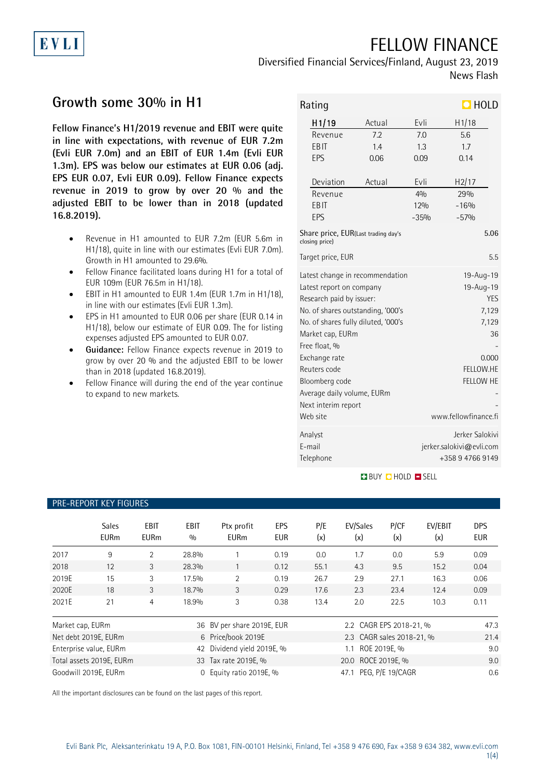# FELLOW FINANCE

Diversified Financial Services/Finland, August 23, 2019 News Flash

# **Growth some 30% in H1**

**EVLI** 

**Fellow Finance's H1/2019 revenue and EBIT were quite in line with expectations, with revenue of EUR 7.2m (Evli EUR 7.0m) and an EBIT of EUR 1.4m (Evli EUR 1.3m). EPS was below our estimates at EUR 0.06 (adj. EPS EUR 0.07, Evli EUR 0.09). Fellow Finance expects revenue in 2019 to grow by over 20 % and the adjusted EBIT to be lower than in 2018 (updated 16.8.2019).**

- Revenue in H1 amounted to EUR 7.2m (EUR 5.6m in H1/18), quite in line with our estimates (Evli EUR 7.0m). Growth in H1 amounted to 29.6%.
- Fellow Finance facilitated loans during H1 for a total of EUR 109m (EUR 76.5m in H1/18).
- EBIT in H1 amounted to EUR 1.4m (EUR 1.7m in H1/18), in line with our estimates (Evli EUR 1.3m).
- EPS in H1 amounted to EUR 0.06 per share (EUR 0.14 in H1/18), below our estimate of EUR 0.09. The for listing expenses adjusted EPS amounted to EUR 0.07.
- **Guidance:** Fellow Finance expects revenue in 2019 to grow by over 20 % and the adjusted EBIT to be lower than in 2018 (updated 16.8.2019).
- Fellow Finance will during the end of the year continue to expand to new markets.

| $\Box$ HOLD<br>Rating               |                                                       |                      |                 |                          |      |  |
|-------------------------------------|-------------------------------------------------------|----------------------|-----------------|--------------------------|------|--|
|                                     | H <sub>1</sub> /19<br>Actual                          |                      | Evli            | H1/18                    |      |  |
|                                     | Revenue                                               | 7.2                  | 70              | 5.6                      |      |  |
|                                     | EBIT                                                  | 14                   | 1.3             | 17                       |      |  |
|                                     | EPS                                                   | 0.06                 | 0.09            | 0.14                     |      |  |
|                                     | Deviation                                             | Actual               | Evli            | H2/17                    |      |  |
|                                     | Revenue                                               |                      | 40/n            | 29%                      |      |  |
|                                     | EBIT                                                  |                      | 12%             | $-16%$                   |      |  |
|                                     | EPS                                                   |                      | $-35%$          | $-57%$                   |      |  |
|                                     | Share price, EUR(Last trading day's<br>closing price) |                      |                 |                          | 5.06 |  |
|                                     | Target price, EUR                                     |                      |                 |                          | 5.5  |  |
| Latest change in recommendation     |                                                       |                      | 19-Aug-19       |                          |      |  |
| Latest report on company            |                                                       |                      | 19-Aug-19       |                          |      |  |
| Research paid by issuer:            |                                                       |                      | <b>YES</b>      |                          |      |  |
|                                     | No. of shares outstanding, '000's                     |                      |                 | 7,129                    |      |  |
| No. of shares fully diluted, '000's |                                                       |                      | 7,129           |                          |      |  |
| Market cap, EURm                    |                                                       |                      | 36              |                          |      |  |
| Free float, %                       |                                                       |                      |                 |                          |      |  |
| Exchange rate                       |                                                       |                      | 0.000           |                          |      |  |
| Reuters code                        |                                                       |                      | FELLOW.HE       |                          |      |  |
| Bloomberg code                      |                                                       |                      | FELLOW HE       |                          |      |  |
| Average daily volume, EURm          |                                                       |                      |                 |                          |      |  |
| Next interim report                 |                                                       |                      |                 |                          |      |  |
|                                     | Web site                                              | www.fellowfinance.fi |                 |                          |      |  |
| Analyst                             |                                                       |                      | Jerker Salokivi |                          |      |  |
|                                     | F-mail                                                |                      |                 | jerker.salokivi@evli.com |      |  |
|                                     | Telephone                                             |                      | +358947669149   |                          |      |  |

#### **BUY DHOLD SELL**

#### PRE-REPORT KEY FIGURES

|                                  | <b>Sales</b><br><b>EURm</b> | <b>EBIT</b><br><b>EURm</b> | <b>EBIT</b><br>0/0         | Ptx profit<br><b>EURm</b>                  | EPS<br><b>EUR</b>   | P/E<br>(x)            | EV/Sales<br>(x)           | P/CF<br>(x) | EV/EBIT<br>(x) | <b>DPS</b><br>EUR |
|----------------------------------|-----------------------------|----------------------------|----------------------------|--------------------------------------------|---------------------|-----------------------|---------------------------|-------------|----------------|-------------------|
| 2017                             | 9                           | $\overline{2}$             | 28.8%                      |                                            | 0.19                | 0.0                   | 1.7                       | 0.0         | 5.9            | 0.09              |
| 2018                             | 12                          | 3                          | 28.3%                      |                                            | 0.12                | 55.1                  | 4.3                       | 9.5         | 15.2           | 0.04              |
| 2019E                            | 15                          | 3                          | 17.5%                      | $\overline{2}$                             | 0.19                | 26.7                  | 2.9                       | 27.1        | 16.3           | 0.06              |
| 2020E                            | 18                          | 3                          | 18.7%                      | 3                                          | 0.29                | 17.6                  | 2.3                       | 23.4        | 12.4           | 0.09              |
| 2021E                            | 21                          | 4                          | 18.9%                      | 3                                          | 0.38                | 13.4                  | 2.0                       | 22.5        | 10.3           | 0.11              |
| Market cap, EURm                 |                             |                            |                            | 36 BV per share 2019E, EUR                 |                     |                       | 2.2 CAGR EPS 2018-21, %   |             |                | 47.3              |
| Net debt 2019E, EURm             |                             |                            |                            | 6 Price/book 2019E                         |                     |                       | 2.3 CAGR sales 2018-21, % |             |                | 21.4              |
| Enterprise value, EURm           |                             |                            | 42 Dividend yield 2019E, % |                                            | ROE 2019E, %<br>1.1 |                       |                           | 9.0         |                |                   |
| Total assets 2019E, EURm         |                             |                            |                            | 20.0 ROCE 2019E, %<br>33 Tax rate 2019E, % |                     |                       |                           | 9.0         |                |                   |
| Goodwill 2019E, EURm<br>$\Omega$ |                             |                            | Equity ratio 2019E, %      |                                            |                     | 47.1 PEG, P/E 19/CAGR |                           |             | 0.6            |                   |

All the important disclosures can be found on the last pages of this report.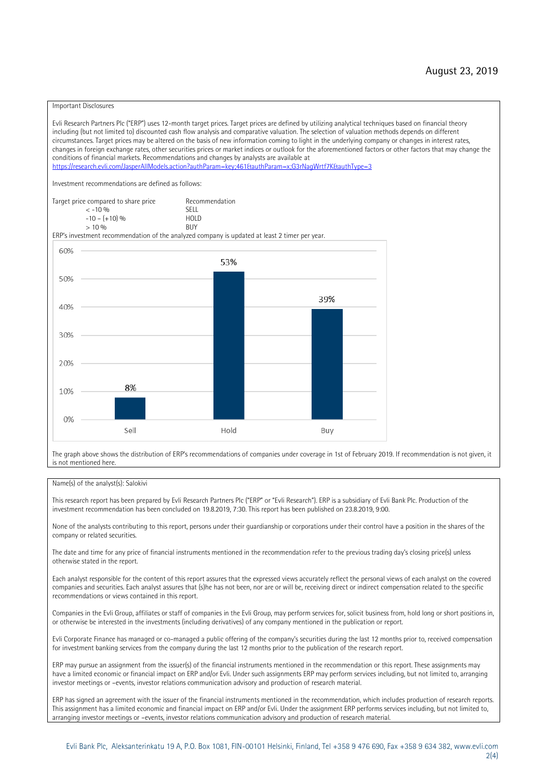#### Important Disclosures

Evli Research Partners Plc ("ERP") uses 12-month target prices. Target prices are defined by utilizing analytical techniques based on financial theory including (but not limited to) discounted cash flow analysis and comparative valuation. The selection of valuation methods depends on different circumstances. Target prices may be altered on the basis of new information coming to light in the underlying company or changes in interest rates, changes in foreign exchange rates, other securities prices or market indices or outlook for the aforementioned factors or other factors that may change the conditions of financial markets. Recommendations and changes by analysts are available at https://research.evli.com/JasperAllModels.action?authParam=key;461&tauthParam=x;G3rNagWrtf7K&tauthType=3 Investment recommendations are defined as follows: Target price compared to share price Recommendation<br>  $\leq$  -10 % < -10 % SELL  $-10 - (+10) \%$  HOL<br>  $> 10 \%$  RIJY  $> 10 \frac{0}{0}$ ERP's investment recommendation of the analyzed company is updated at least 2 timer per year. 60% 53% 50% 39% 40% 30% 20% 8% 10% 0% Sell Hold Buy

The graph above shows the distribution of ERP's recommendations of companies under coverage in 1st of February 2019. If recommendation is not given, it is not mentioned here.

#### Name(s) of the analyst(s): Salokivi

This research report has been prepared by Evli Research Partners Plc ("ERP" or "Evli Research"). ERP is a subsidiary of Evli Bank Plc. Production of the investment recommendation has been concluded on 19.8.2019, 7:30. This report has been published on 23.8.2019, 9:00.

None of the analysts contributing to this report, persons under their guardianship or corporations under their control have a position in the shares of the company or related securities.

The date and time for any price of financial instruments mentioned in the recommendation refer to the previous trading day's closing price(s) unless otherwise stated in the report.

Each analyst responsible for the content of this report assures that the expressed views accurately reflect the personal views of each analyst on the covered companies and securities. Each analyst assures that (s)he has not been, nor are or will be, receiving direct or indirect compensation related to the specific recommendations or views contained in this report.

Companies in the Evli Group, affiliates or staff of companies in the Evli Group, may perform services for, solicit business from, hold long or short positions in, or otherwise be interested in the investments (including derivatives) of any company mentioned in the publication or report.

Evli Corporate Finance has managed or co-managed a public offering of the company's securities during the last 12 months prior to, received compensation for investment banking services from the company during the last 12 months prior to the publication of the research report.

ERP may pursue an assignment from the issuer(s) of the financial instruments mentioned in the recommendation or this report. These assignments may have a limited economic or financial impact on ERP and/or Evli. Under such assignments ERP may perform services including, but not limited to, arranging investor meetings or –events, investor relations communication advisory and production of research material.

ERP has signed an agreement with the issuer of the financial instruments mentioned in the recommendation, which includes production of research reports. This assignment has a limited economic and financial impact on ERP and/or Evli. Under the assignment ERP performs services including, but not limited to, arranging investor meetings or –events, investor relations communication advisory and production of research material.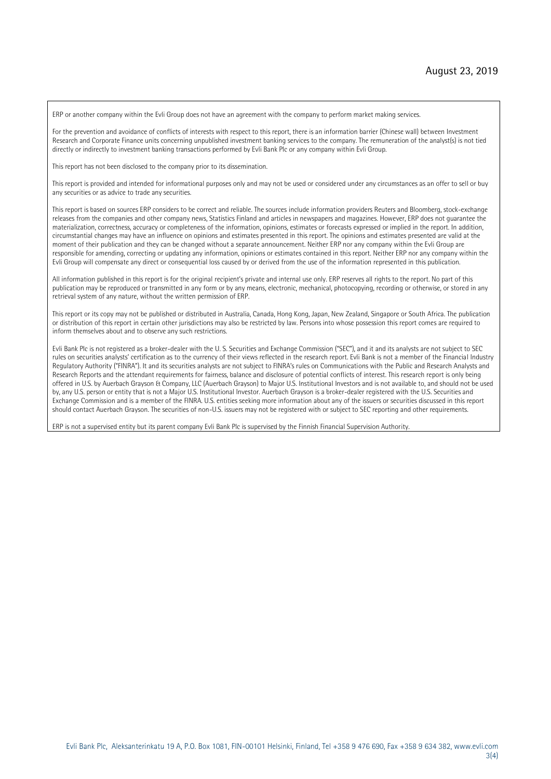ERP or another company within the Evli Group does not have an agreement with the company to perform market making services.

For the prevention and avoidance of conflicts of interests with respect to this report, there is an information barrier (Chinese wall) between Investment Research and Corporate Finance units concerning unpublished investment banking services to the company. The remuneration of the analyst(s) is not tied directly or indirectly to investment banking transactions performed by Evli Bank Plc or any company within Evli Group.

This report has not been disclosed to the company prior to its dissemination.

This report is provided and intended for informational purposes only and may not be used or considered under any circumstances as an offer to sell or buy any securities or as advice to trade any securities.

This report is based on sources ERP considers to be correct and reliable. The sources include information providers Reuters and Bloomberg, stock-exchange releases from the companies and other company news, Statistics Finland and articles in newspapers and magazines. However, ERP does not guarantee the materialization, correctness, accuracy or completeness of the information, opinions, estimates or forecasts expressed or implied in the report. In addition, circumstantial changes may have an influence on opinions and estimates presented in this report. The opinions and estimates presented are valid at the moment of their publication and they can be changed without a separate announcement. Neither ERP nor any company within the Evli Group are responsible for amending, correcting or updating any information, opinions or estimates contained in this report. Neither ERP nor any company within the Evli Group will compensate any direct or consequential loss caused by or derived from the use of the information represented in this publication.

All information published in this report is for the original recipient's private and internal use only. ERP reserves all rights to the report. No part of this publication may be reproduced or transmitted in any form or by any means, electronic, mechanical, photocopying, recording or otherwise, or stored in any retrieval system of any nature, without the written permission of ERP.

This report or its copy may not be published or distributed in Australia, Canada, Hong Kong, Japan, New Zealand, Singapore or South Africa. The publication or distribution of this report in certain other jurisdictions may also be restricted by law. Persons into whose possession this report comes are required to inform themselves about and to observe any such restrictions.

Evli Bank Plc is not registered as a broker-dealer with the U. S. Securities and Exchange Commission ("SEC"), and it and its analysts are not subject to SEC rules on securities analysts' certification as to the currency of their views reflected in the research report. Evli Bank is not a member of the Financial Industry Regulatory Authority ("FINRA"). It and its securities analysts are not subject to FINRA's rules on Communications with the Public and Research Analysts and Research Reports and the attendant requirements for fairness, balance and disclosure of potential conflicts of interest. This research report is only being offered in U.S. by Auerbach Grayson & Company, LLC (Auerbach Grayson) to Major U.S. Institutional Investors and is not available to, and should not be used by, any U.S. person or entity that is not a Major U.S. Institutional Investor. Auerbach Grayson is a broker-dealer registered with the U.S. Securities and Exchange Commission and is a member of the FINRA. U.S. entities seeking more information about any of the issuers or securities discussed in this report should contact Auerbach Grayson. The securities of non-U.S. issuers may not be registered with or subject to SEC reporting and other requirements.

ERP is not a supervised entity but its parent company Evli Bank Plc is supervised by the Finnish Financial Supervision Authority.